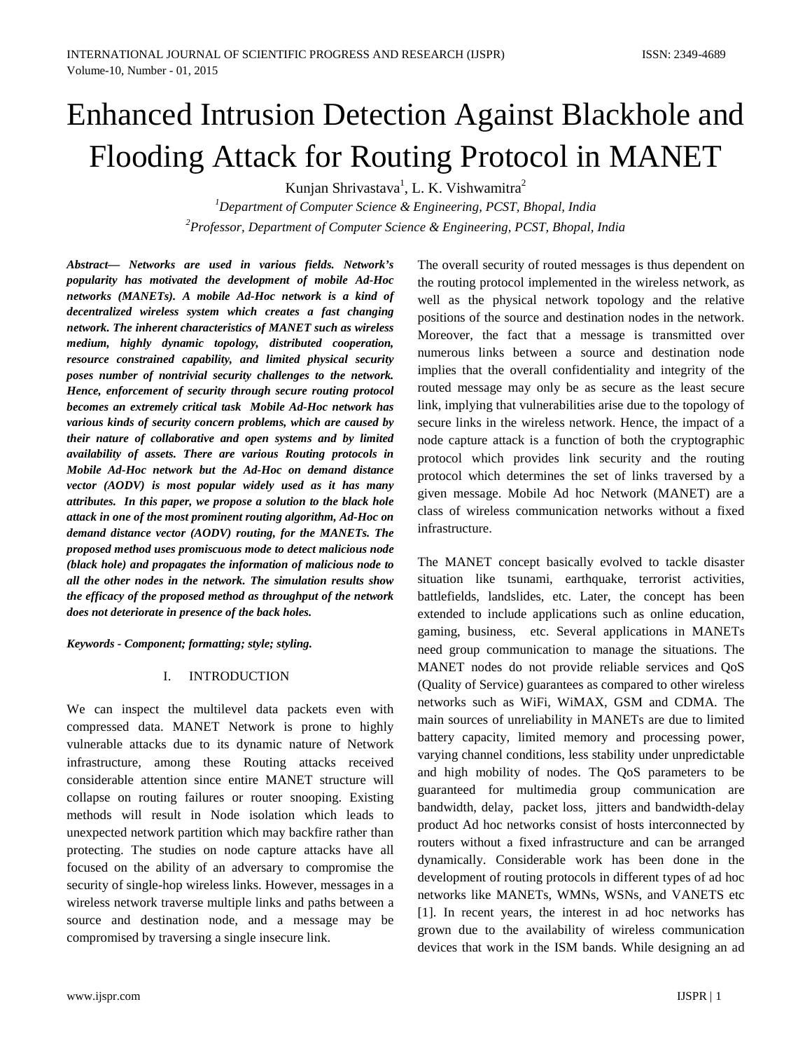# Enhanced Intrusion Detection Against Blackhole and Flooding Attack for Routing Protocol in MANET

Kunjan Shrivastava<sup>1</sup>, L. K. Vishwamitra<sup>2</sup>

*1 Department of Computer Science & Engineering, PCST, Bhopal, India 2 Professor, Department of Computer Science & Engineering, PCST, Bhopal, India*

*Abstract— Networks are used in various fields. Network's popularity has motivated the development of mobile Ad-Hoc networks (MANETs). A mobile Ad-Hoc network is a kind of decentralized wireless system which creates a fast changing network. The inherent characteristics of MANET such as wireless medium, highly dynamic topology, distributed cooperation, resource constrained capability, and limited physical security poses number of nontrivial security challenges to the network. Hence, enforcement of security through secure routing protocol becomes an extremely critical task Mobile Ad-Hoc network has various kinds of security concern problems, which are caused by their nature of collaborative and open systems and by limited availability of assets. There are various Routing protocols in Mobile Ad-Hoc network but the Ad-Hoc on demand distance vector (AODV) is most popular widely used as it has many attributes. In this paper, we propose a solution to the black hole attack in one of the most prominent routing algorithm, Ad-Hoc on demand distance vector (AODV) routing, for the MANETs. The proposed method uses promiscuous mode to detect malicious node (black hole) and propagates the information of malicious node to all the other nodes in the network. The simulation results show the efficacy of the proposed method as throughput of the network does not deteriorate in presence of the back holes.*

*Keywords - Component; formatting; style; styling.*

#### I. INTRODUCTION

We can inspect the multilevel data packets even with compressed data. MANET Network is prone to highly vulnerable attacks due to its dynamic nature of Network infrastructure, among these Routing attacks received considerable attention since entire MANET structure will collapse on routing failures or router snooping. Existing methods will result in Node isolation which leads to unexpected network partition which may backfire rather than protecting. The studies on node capture attacks have all focused on the ability of an adversary to compromise the security of single-hop wireless links. However, messages in a wireless network traverse multiple links and paths between a source and destination node, and a message may be compromised by traversing a single insecure link.

The overall security of routed messages is thus dependent on the routing protocol implemented in the wireless network, as well as the physical network topology and the relative positions of the source and destination nodes in the network. Moreover, the fact that a message is transmitted over numerous links between a source and destination node implies that the overall confidentiality and integrity of the routed message may only be as secure as the least secure link, implying that vulnerabilities arise due to the topology of secure links in the wireless network. Hence, the impact of a node capture attack is a function of both the cryptographic protocol which provides link security and the routing protocol which determines the set of links traversed by a given message. Mobile Ad hoc Network (MANET) are a class of wireless communication networks without a fixed infrastructure.

The MANET concept basically evolved to tackle disaster situation like tsunami, earthquake, terrorist activities, battlefields, landslides, etc. Later, the concept has been extended to include applications such as online education, gaming, business, etc. Several applications in MANETs need group communication to manage the situations. The MANET nodes do not provide reliable services and QoS (Quality of Service) guarantees as compared to other wireless networks such as WiFi, WiMAX, GSM and CDMA. The main sources of unreliability in MANETs are due to limited battery capacity, limited memory and processing power, varying channel conditions, less stability under unpredictable and high mobility of nodes. The QoS parameters to be guaranteed for multimedia group communication are bandwidth, delay, packet loss, jitters and bandwidth-delay product Ad hoc networks consist of hosts interconnected by routers without a fixed infrastructure and can be arranged dynamically. Considerable work has been done in the development of routing protocols in different types of ad hoc networks like MANETs, WMNs, WSNs, and VANETS etc [1]. In recent years, the interest in ad hoc networks has grown due to the availability of wireless communication devices that work in the ISM bands. While designing an ad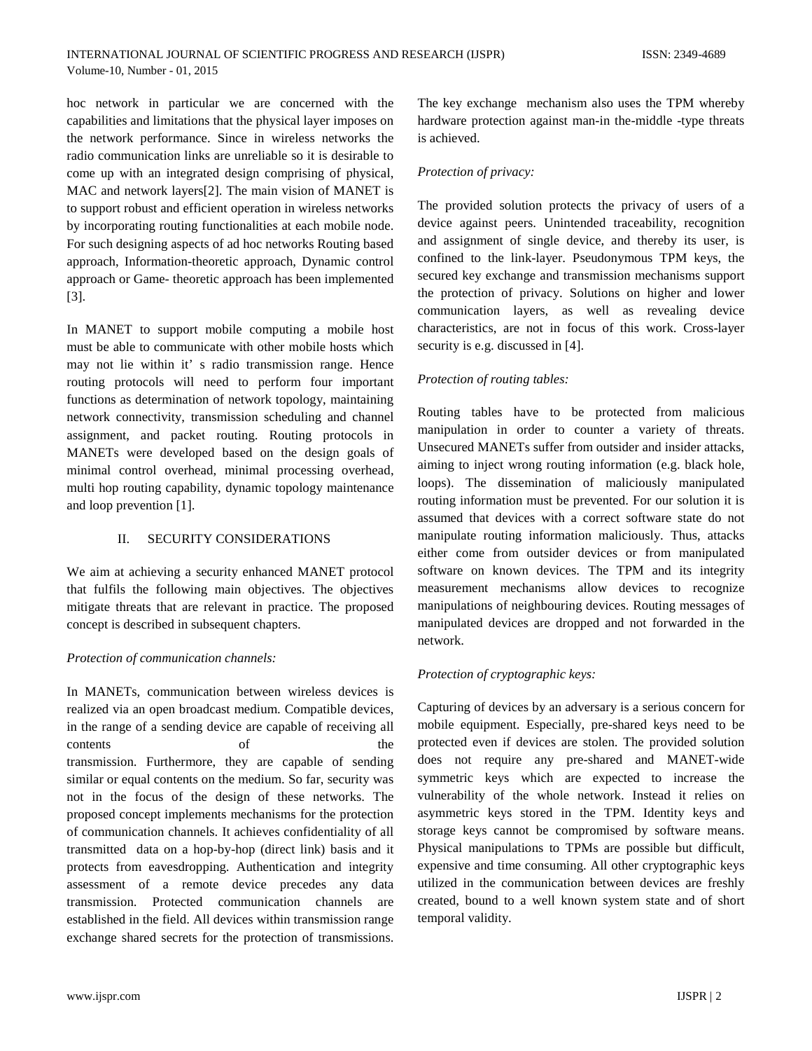hoc network in particular we are concerned with the capabilities and limitations that the physical layer imposes on the network performance. Since in wireless networks the radio communication links are unreliable so it is desirable to come up with an integrated design comprising of physical, MAC and network layers[2]. The main vision of MANET is to support robust and efficient operation in wireless networks by incorporating routing functionalities at each mobile node. For such designing aspects of ad hoc networks Routing based approach, Information-theoretic approach, Dynamic control approach or Game- theoretic approach has been implemented [3].

In MANET to support mobile computing a mobile host must be able to communicate with other mobile hosts which may not lie within it' s radio transmission range. Hence routing protocols will need to perform four important functions as determination of network topology, maintaining network connectivity, transmission scheduling and channel assignment, and packet routing. Routing protocols in MANETs were developed based on the design goals of minimal control overhead, minimal processing overhead, multi hop routing capability, dynamic topology maintenance and loop prevention [1].

## II. SECURITY CONSIDERATIONS

We aim at achieving a security enhanced MANET protocol that fulfils the following main objectives. The objectives mitigate threats that are relevant in practice. The proposed concept is described in subsequent chapters.

## *Protection of communication channels:*

In MANETs, communication between wireless devices is realized via an open broadcast medium. Compatible devices, in the range of a sending device are capable of receiving all contents of the transmission. Furthermore, they are capable of sending similar or equal contents on the medium. So far, security was not in the focus of the design of these networks. The proposed concept implements mechanisms for the protection of communication channels. It achieves confidentiality of all transmitted data on a hop-by-hop (direct link) basis and it protects from eavesdropping. Authentication and integrity assessment of a remote device precedes any data transmission. Protected communication channels are established in the field. All devices within transmission range exchange shared secrets for the protection of transmissions.

The key exchange mechanism also uses the TPM whereby hardware protection against man-in the-middle -type threats is achieved.

#### *Protection of privacy:*

The provided solution protects the privacy of users of a device against peers. Unintended traceability, recognition and assignment of single device, and thereby its user, is confined to the link-layer. Pseudonymous TPM keys, the secured key exchange and transmission mechanisms support the protection of privacy. Solutions on higher and lower communication layers, as well as revealing device characteristics, are not in focus of this work. Cross-layer security is e.g. discussed in [4].

## *Protection of routing tables:*

Routing tables have to be protected from malicious manipulation in order to counter a variety of threats. Unsecured MANETs suffer from outsider and insider attacks, aiming to inject wrong routing information (e.g. black hole, loops). The dissemination of maliciously manipulated routing information must be prevented. For our solution it is assumed that devices with a correct software state do not manipulate routing information maliciously. Thus, attacks either come from outsider devices or from manipulated software on known devices. The TPM and its integrity measurement mechanisms allow devices to recognize manipulations of neighbouring devices. Routing messages of manipulated devices are dropped and not forwarded in the network.

## *Protection of cryptographic keys:*

Capturing of devices by an adversary is a serious concern for mobile equipment. Especially, pre-shared keys need to be protected even if devices are stolen. The provided solution does not require any pre-shared and MANET-wide symmetric keys which are expected to increase the vulnerability of the whole network. Instead it relies on asymmetric keys stored in the TPM. Identity keys and storage keys cannot be compromised by software means. Physical manipulations to TPMs are possible but difficult, expensive and time consuming. All other cryptographic keys utilized in the communication between devices are freshly created, bound to a well known system state and of short temporal validity.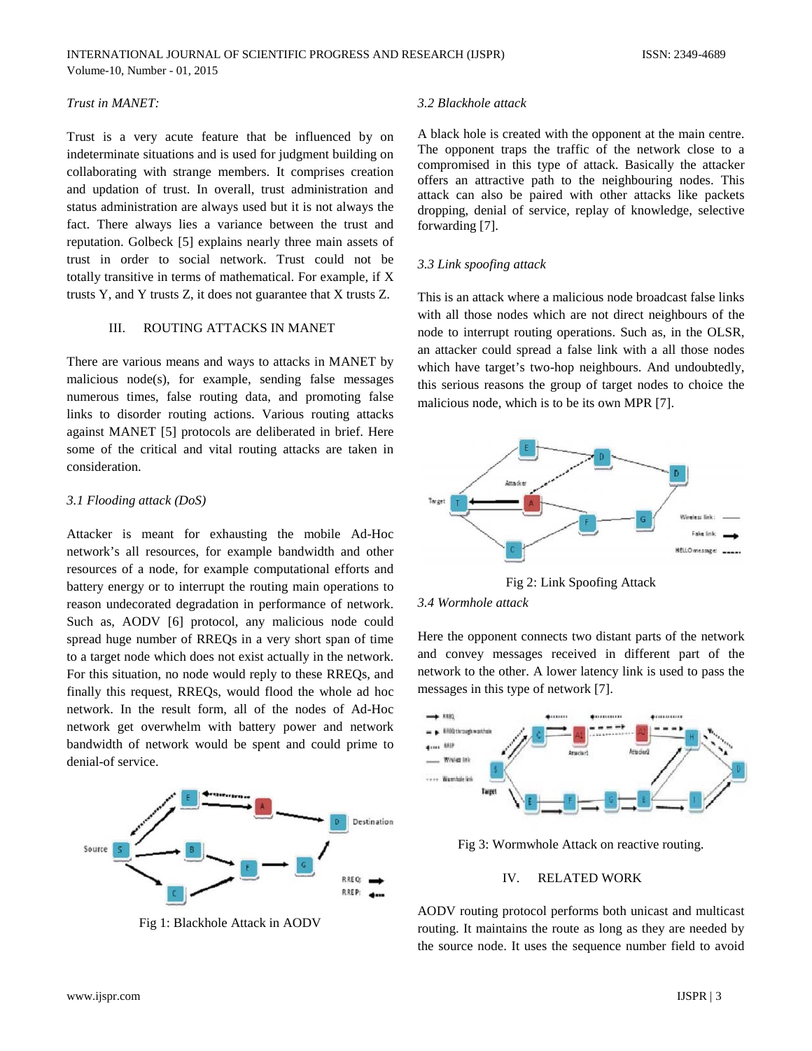#### *Trust in MANET:*

Trust is a very acute feature that be influenced by on indeterminate situations and is used for judgment building on collaborating with strange members. It comprises creation and updation of trust. In overall, trust administration and status administration are always used but it is not always the fact. There always lies a variance between the trust and reputation. Golbeck [5] explains nearly three main assets of trust in order to social network. Trust could not be totally transitive in terms of mathematical. For example, if X trusts Y, and Y trusts Z, it does not guarantee that X trusts Z.

#### III. ROUTING ATTACKS IN MANET

There are various means and ways to attacks in MANET by malicious node(s), for example, sending false messages numerous times, false routing data, and promoting false links to disorder routing actions. Various routing attacks against MANET [5] protocols are deliberated in brief. Here some of the critical and vital routing attacks are taken in consideration.

#### *3.1 Flooding attack (DoS)*

Attacker is meant for exhausting the mobile Ad-Hoc network's all resources, for example bandwidth and other resources of a node, for example computational efforts and battery energy or to interrupt the routing main operations to reason undecorated degradation in performance of network. Such as, AODV [6] protocol, any malicious node could spread huge number of RREQs in a very short span of time to a target node which does not exist actually in the network. For this situation, no node would reply to these RREQs, and finally this request, RREQs, would flood the whole ad hoc network. In the result form, all of the nodes of Ad-Hoc network get overwhelm with battery power and network bandwidth of network would be spent and could prime to denial-of service.



Fig 1: Blackhole Attack in AODV

#### *3.2 Blackhole attack*

A black hole is created with the opponent at the main centre. The opponent traps the traffic of the network close to a compromised in this type of attack. Basically the attacker offers an attractive path to the neighbouring nodes. This attack can also be paired with other attacks like packets dropping, denial of service, replay of knowledge, selective forwarding [7].

#### *3.3 Link spoofing attack*

This is an attack where a malicious node broadcast false links with all those nodes which are not direct neighbours of the node to interrupt routing operations. Such as, in the OLSR, an attacker could spread a false link with a all those nodes which have target's two-hop neighbours. And undoubtedly, this serious reasons the group of target nodes to choice the malicious node, which is to be its own MPR [7].



Fig 2: Link Spoofing Attack

#### *3.4 Wormhole attack*

Here the opponent connects two distant parts of the network and convey messages received in different part of the network to the other. A lower latency link is used to pass the messages in this type of network [7].



Fig 3: Wormwhole Attack on reactive routing.

#### IV. RELATED WORK

AODV routing protocol performs both unicast and multicast routing. It maintains the route as long as they are needed by the source node. It uses the sequence number field to avoid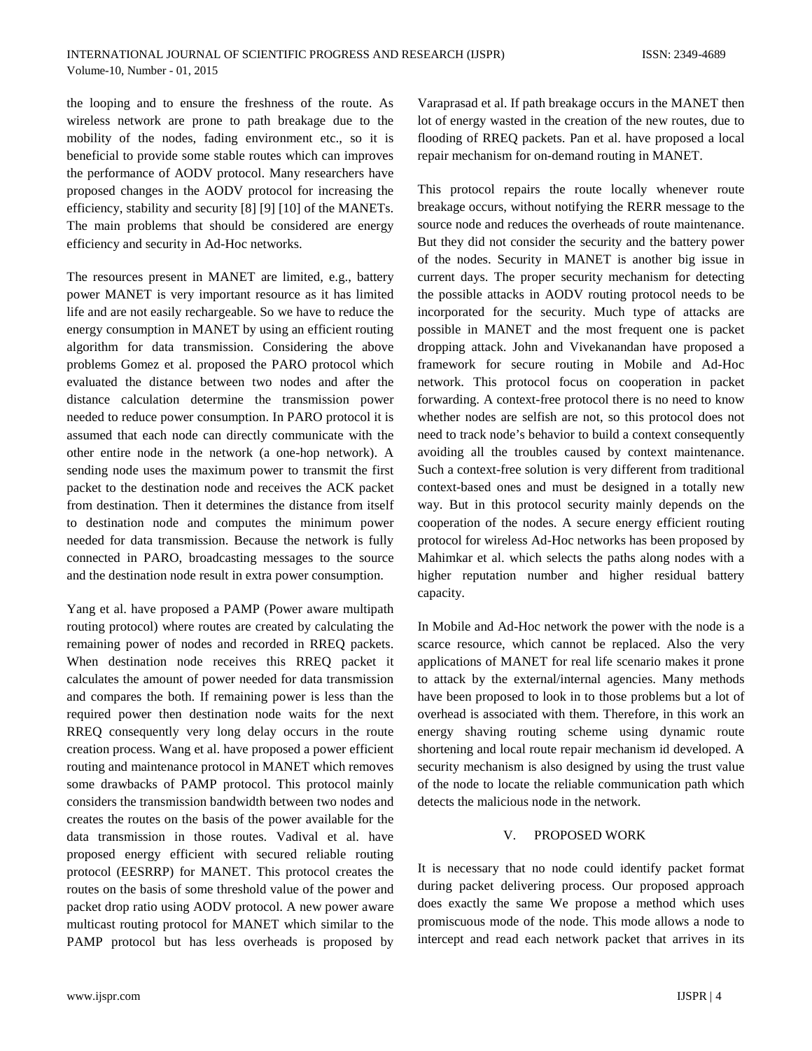the looping and to ensure the freshness of the route. As wireless network are prone to path breakage due to the mobility of the nodes, fading environment etc., so it is beneficial to provide some stable routes which can improves the performance of AODV protocol. Many researchers have proposed changes in the AODV protocol for increasing the efficiency, stability and security [8] [9] [10] of the MANETs. The main problems that should be considered are energy efficiency and security in Ad-Hoc networks.

The resources present in MANET are limited, e.g., battery power MANET is very important resource as it has limited life and are not easily rechargeable. So we have to reduce the energy consumption in MANET by using an efficient routing algorithm for data transmission. Considering the above problems Gomez et al. proposed the PARO protocol which evaluated the distance between two nodes and after the distance calculation determine the transmission power needed to reduce power consumption. In PARO protocol it is assumed that each node can directly communicate with the other entire node in the network (a one-hop network). A sending node uses the maximum power to transmit the first packet to the destination node and receives the ACK packet from destination. Then it determines the distance from itself to destination node and computes the minimum power needed for data transmission. Because the network is fully connected in PARO, broadcasting messages to the source and the destination node result in extra power consumption.

Yang et al. have proposed a PAMP (Power aware multipath routing protocol) where routes are created by calculating the remaining power of nodes and recorded in RREQ packets. When destination node receives this RREQ packet it calculates the amount of power needed for data transmission and compares the both. If remaining power is less than the required power then destination node waits for the next RREQ consequently very long delay occurs in the route creation process. Wang et al. have proposed a power efficient routing and maintenance protocol in MANET which removes some drawbacks of PAMP protocol. This protocol mainly considers the transmission bandwidth between two nodes and creates the routes on the basis of the power available for the data transmission in those routes. Vadival et al. have proposed energy efficient with secured reliable routing protocol (EESRRP) for MANET. This protocol creates the routes on the basis of some threshold value of the power and packet drop ratio using AODV protocol. A new power aware multicast routing protocol for MANET which similar to the PAMP protocol but has less overheads is proposed by

Varaprasad et al. If path breakage occurs in the MANET then lot of energy wasted in the creation of the new routes, due to flooding of RREQ packets. Pan et al. have proposed a local repair mechanism for on-demand routing in MANET.

This protocol repairs the route locally whenever route breakage occurs, without notifying the RERR message to the source node and reduces the overheads of route maintenance. But they did not consider the security and the battery power of the nodes. Security in MANET is another big issue in current days. The proper security mechanism for detecting the possible attacks in AODV routing protocol needs to be incorporated for the security. Much type of attacks are possible in MANET and the most frequent one is packet dropping attack. John and Vivekanandan have proposed a framework for secure routing in Mobile and Ad-Hoc network. This protocol focus on cooperation in packet forwarding. A context-free protocol there is no need to know whether nodes are selfish are not, so this protocol does not need to track node's behavior to build a context consequently avoiding all the troubles caused by context maintenance. Such a context-free solution is very different from traditional context-based ones and must be designed in a totally new way. But in this protocol security mainly depends on the cooperation of the nodes. A secure energy efficient routing protocol for wireless Ad-Hoc networks has been proposed by Mahimkar et al. which selects the paths along nodes with a higher reputation number and higher residual battery capacity.

In Mobile and Ad-Hoc network the power with the node is a scarce resource, which cannot be replaced. Also the very applications of MANET for real life scenario makes it prone to attack by the external/internal agencies. Many methods have been proposed to look in to those problems but a lot of overhead is associated with them. Therefore, in this work an energy shaving routing scheme using dynamic route shortening and local route repair mechanism id developed. A security mechanism is also designed by using the trust value of the node to locate the reliable communication path which detects the malicious node in the network.

#### V. PROPOSED WORK

It is necessary that no node could identify packet format during packet delivering process. Our proposed approach does exactly the same We propose a method which uses promiscuous mode of the node. This mode allows a node to intercept and read each network packet that arrives in its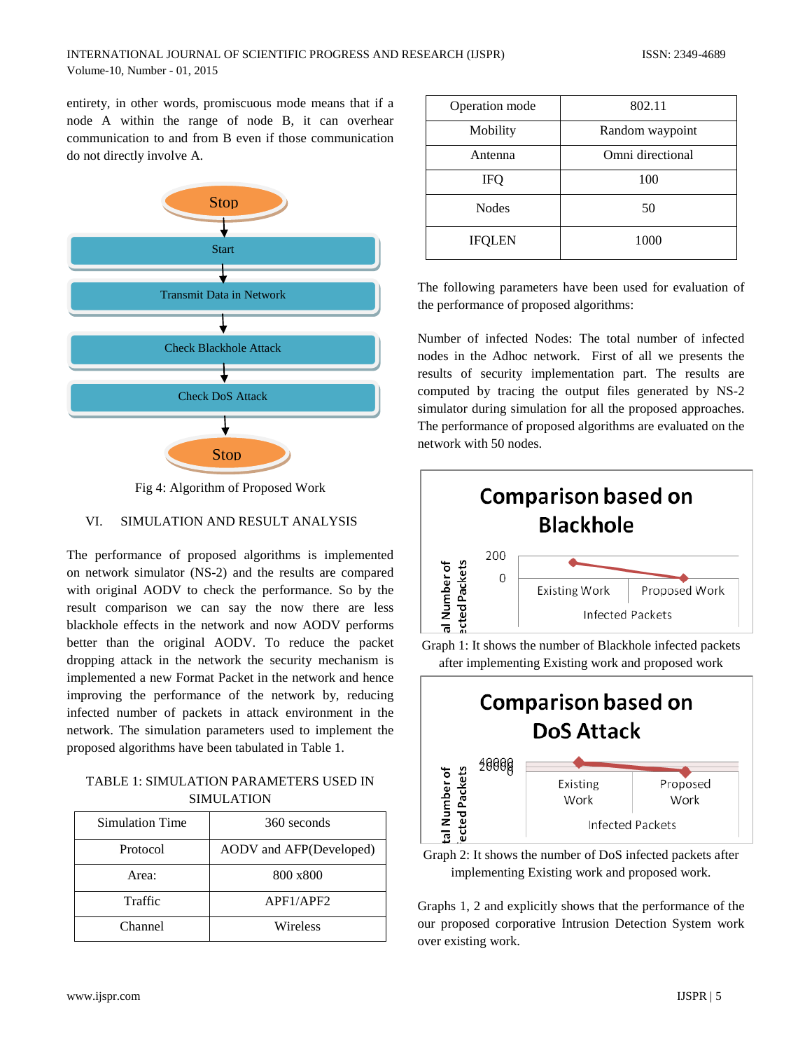entirety, in other words, promiscuous mode means that if a node A within the range of node B, it can overhear communication to and from B even if those communication do not directly involve A.



Fig 4: Algorithm of Proposed Work

## VI. SIMULATION AND RESULT ANALYSIS

The performance of proposed algorithms is implemented on network simulator (NS-2) and the results are compared with original AODV to check the performance. So by the result comparison we can say the now there are less blackhole effects in the network and now AODV performs better than the original AODV. To reduce the packet dropping attack in the network the security mechanism is implemented a new Format Packet in the network and hence improving the performance of the network by, reducing infected number of packets in attack environment in the network. The simulation parameters used to implement the proposed algorithms have been tabulated in Table 1.

## TABLE 1: SIMULATION PARAMETERS USED IN SIMULATION

| Simulation Time | 360 seconds             |
|-----------------|-------------------------|
| Protocol        | AODV and AFP(Developed) |
| Area:           | 800 x800                |
| Traffic         | APF1/APF2               |
| Channel         | Wireless                |

| Operation mode | 802.11           |
|----------------|------------------|
| Mobility       | Random waypoint  |
| Antenna        | Omni directional |
| IFO            | 100              |
| <b>Nodes</b>   | 50               |
| <b>IFQLEN</b>  | 1000             |

The following parameters have been used for evaluation of the performance of proposed algorithms:

Number of infected Nodes: The total number of infected nodes in the Adhoc network. First of all we presents the results of security implementation part. The results are computed by tracing the output files generated by NS-2 simulator during simulation for all the proposed approaches. The performance of proposed algorithms are evaluated on the network with 50 nodes.







Graph 2: It shows the number of DoS infected packets after implementing Existing work and proposed work.

Graphs 1, 2 and explicitly shows that the performance of the our proposed corporative Intrusion Detection System work over existing work.